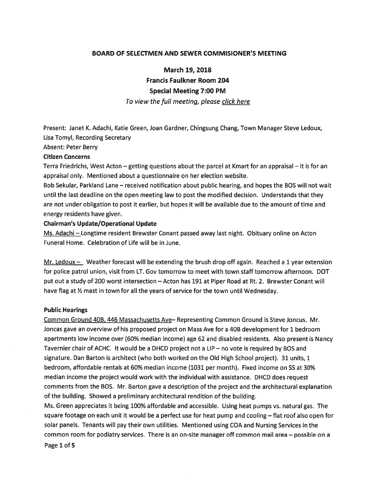### BOARD OF SELECTMEN AND SEWER COMMISIONER'S MEETING

March 19, 2018

Francis Faulkner Room 204

#### Special Meeting 7:00 PM

To view the full meeting, please click here

Present: Janet K. Adachi, Katie Green, Joan Gardner, Chingsung Chang, Town Manager Steve Ledoux, Lisa Tomyl, Recording Secretary

Absent: Peter Berry

#### Citizen Concerns

Terra Friedrichs, West Acton — getting questions about the parcel at Kmart for an appraisal — it is for an appraisal only. Mentioned about <sup>a</sup> questionnaire on her election website.

Bob Sekular, Parkland Lane — received notification about public hearing, and hopes the BOS will not wait until the last deadline on the open meeting law to pos<sup>t</sup> the modified decision. Understands that they are not under obligation to pos<sup>t</sup> it earlier, but hopes it will be available due to the amount of time and energy residents have given.

#### Chairman's Update/Operational Update

Ms. Adachi — Longtime resident Brewster Conant passed away last night. Obituary online on Acton Funeral Home. Celebration of Life will be in June.

Mr. Ledoux  $-$  Weather forecast will be extending the brush drop off again. Reached a 1 year extension for police patrol union, visit from LT. Gov tomorrow to meet with town staff tomorrow afternoon. DOT pu<sup>t</sup> out <sup>a</sup> study of 200 worst intersection — Acton has 191 at Piper Road at Rt. 2. Brewster Conant will have flag at  $\frac{1}{2}$  mast in town for all the years of service for the town until Wednesday.

#### Public Hearings

Common Ground 40B, 446 Massachusetts Aye— Representing Common Ground is Steve Joncus. Mr. Joncas gave an overview of his proposed project on Mass Ave for <sup>a</sup> 40B development for 1 bedroom apartments low income over (60% median income) age 62 and disabled residents. Also presen<sup>t</sup> is Nancy Tavernier chair of ACHC. It would be <sup>a</sup> DHCD project not <sup>a</sup> LIP — no vote is required by BOS and signature. Dan Barton is architect (who both worked on the Old High School project). 31 units, 1 bedroom, affordable rentals at 60% median income (1031 per month). Fixed income on SS at 30% median income the project would work with the individual with assistance. DHCD does reques<sup>t</sup> comments from the BOS. Mr. Barton gave <sup>a</sup> description of the project and the architectural explanation of the building. Showed <sup>a</sup> preliminary architectural rendition of the building.

Ms. Green appreciates it being 100% affordable and accessible. Using heat pumps vs. natural gas. The square footage on each unit it would be <sup>a</sup> perfect use for heat pump and cooling — flat roof also open for solar panels. Tenants will pay their own utilities. Mentioned using COA and Nursing Services in the common room for podiatry services. There is an on-site manager off common mail area — possible on <sup>a</sup>

Page 1 of 5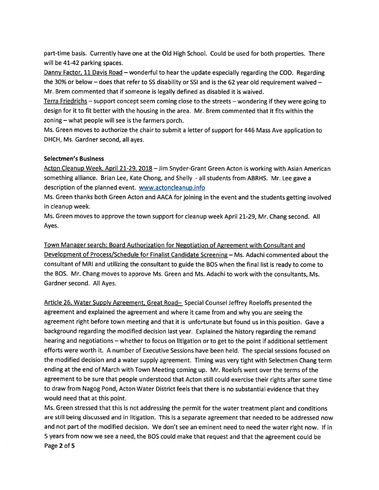part-time basis. Currently have one at the Old High School. Could be used for both properties. There will be 41-42 parking spaces.

Danny Factor, 11 Davis Road – wonderful to hear the update especially regarding the COD. Regarding the 30% or below – does that refer to SS disability or SSI and is the 62 year old requirement waived – Mr. Brem commented that if someone is legally defined as disabled it is waived.

Terra Friedrichs — suppor<sup>t</sup> concep<sup>t</sup> seem coming close to the streets — wondering if they were going to design for it to fit better with the housing in the area. Mr. Brem commented that it fits within the zoning — what people will see is the farmers porch.

Ms. Green moves to authorize the chair to submit <sup>a</sup> letter of suppor<sup>t</sup> for 446 Mass Ave application to DHCH, Ms. Gardner second, all ayes.

## Selectmen's Business

Acton Cleanup Week, April 21-29, 2018 —Jim Snyder-Grant Green Acton is working with Asian American something alliance. Brian Lee, Kate Chong, and Shelly - all students from ABRHS. Mr. Lee gave <sup>a</sup> description of the planned event. www.actoncleanup.info

Ms. Green thanks both Green Acton and AACA for joining in the event and the students getting involved in cleanup week.

Ms. Green moves to approve the town suppor<sup>t</sup> for cleanup week April 21-29, Mr. Chang second. All Ayes.

Town Manager search: Board Authorization for Negotiation of Agreement with Consultant and Development of Process/Schedule for Finalist Candidate Screening — Ms. Adachi commented about the consultant of MRI and utilizing the consultant to guide the BOS when the final list is ready to come to the BOS. Mr. Chang moves to approve Ms. Green and Ms. Adachi to work with the consultants, Ms. Gardner second. All Ayes.

Article 26, Water Supply Agreement, Great Road- Special Counsel Jeffrey Roeloffs presented the agreemen<sup>t</sup> and explained the agreemen<sup>t</sup> and where it came from and why you are seeing the agreemen<sup>t</sup> right before town meeting and that it is unfortunate but found us in this position. Gave <sup>a</sup> background regarding the modified decision last year. Explained the history regarding the remand hearing and negotiations — whether to focus on litigation or to ge<sup>t</sup> to the point if additional settlement efforts were worth it. <sup>A</sup> number of Executive Sessions have been held. The special sessions focused on the modified decision and <sup>a</sup> water supply agreement. Timing was very tight with Selectmen Chang term ending at the end of March with Town Meeting coming up. Mr. Roelofs went over the terms of the agreemen<sup>t</sup> to be sure that people understood that Acton still could exercise their rights after some time to draw from Nagog Pond, Acton Water District feels that there is no substantial evidence that they would need that at this point.

Ms. Green stressed that this is not addressing the permit for the water treatment <sup>p</sup>lant and conditions are still being discussed and in litigation. This is <sup>a</sup> separate agreemen<sup>t</sup> that needed to be addressed now and not par<sup>t</sup> of the modified decision. We don't see an eminent need to need the water right now. If in <sup>5</sup> years from now we see <sup>a</sup> need, the BOS could make that reques<sup>t</sup> and that the agreemen<sup>t</sup> could be Page 2 of 5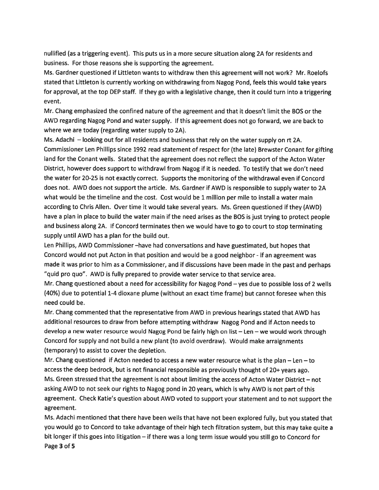nullified (as <sup>a</sup> triggering event). This puts us in <sup>a</sup> more secure situation along 2A for residents and business. For those reasons she is supporting the agreement.

Ms. Gardner questioned if Littleton wants to withdraw then this agreemen<sup>t</sup> will not work? Mr. Roelofs stated that Littleton is currently working on withdrawing from Nagog Pond, feels this would take years for approval, at the top DEP staff. If they go with <sup>a</sup> legislative change, then it could turn into <sup>a</sup> triggering event.

Mr. Chang emphasized the confined nature of the agreemen<sup>t</sup> and that it doesn't limit the BOS or the AWD regarding Nagog Pond and water supply. If this agreemen<sup>t</sup> does not go forward, we are back to where we are today (regarding water supply to 2A).

Ms. Adachi — looking out for all residents and business that rely on the water supply on rt 2A. Commissioner Len Phillips since 1992 read statement of respec<sup>t</sup> for (the late) Brewster Conant for gifting land for the Conant wells. Stated that the agreemen<sup>t</sup> does not reflect the suppor<sup>t</sup> of the Acton Water District, however does suppor<sup>t</sup> to withdrawl from Nagog if it is needed. To testify that we don't need the water for 20-25 is not exactly correct. Supports the monitoring of the withdrawal even if Concord does not. AWD does not suppor<sup>t</sup> the article. Ms. Gardner if AWD is responsible to supply water to 2A what would be the timeline and the cost. Cost would be <sup>1</sup> million per mile to install <sup>a</sup> water main according to Chris Allen. Over time it would take several years. Ms. Green questioned if they (AWD) have <sup>a</sup> <sup>p</sup>lan in <sup>p</sup>lace to build the water main if the need arises as the BOS is just trying to protect people and business along 2A. If Concord terminates then we would have to go to court to stop terminating supply until AWD has <sup>a</sup> plan for the build out.

Len Phillips, AWD Commissioner —have had conversations and have guestimated, but hopes that Concord would not pu<sup>t</sup> Acton in that position and would be <sup>a</sup> good neighbor - if an agreemen<sup>t</sup> was made it was prior to him as <sup>a</sup> Commissioner, and if discussions have been made in the pas<sup>t</sup> and perhaps "quid pro quo". AWD is fully prepared to provide water service to that service area.

Mr. Chang questioned about <sup>a</sup> need for accessibility for Nagog Pond — yes due to possible loss of <sup>2</sup> wells (40%) due to potential 1-4 dioxane plume (without an exact time frame) but cannot foresee when this need could be.

Mr. Chang commented that the representative from AWD in previous hearings stated that AWD has additional resources to draw from before attempting withdraw Nagog Pond and if Acton needs to develop <sup>a</sup> new water resource would Nagog Pond be fairly high on list — Len — we would work through Concord for supply and not build <sup>a</sup> new <sup>p</sup>lant (to avoid overdraw). Would make arraignments (temporary) to assist to cover the depletion.

Mr. Chang questioned if Acton needed to access <sup>a</sup> new water resource what is the <sup>p</sup>lan — Len — to access the deep bedrock, but is not financial responsible as previously thought of 20+ years ago. Ms. Green stressed that the agreemen<sup>t</sup> is not about limiting the access of Acton Water District — not asking AWD to not seek our rights to Nagog pon<sup>d</sup> in <sup>20</sup> years, which is why AWD is not par<sup>t</sup> of this agreement. Check Katie's question about AWD voted to suppor<sup>t</sup> your statement and to not suppor<sup>t</sup> the agreement.

Ms. Adachi mentioned that there have been wells that have not been explored fully, but you stated that you would go to Concord to take advantage of their high tech filtration system, but this may take quite <sup>a</sup> bit longer if this goes into litigation — if there was <sup>a</sup> long term issue would you still go to Concord for Page 3 of 5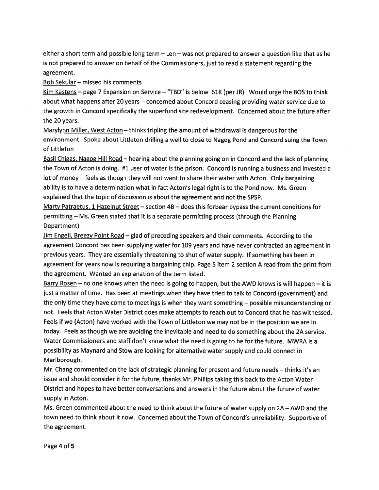either <sup>a</sup> short term and possible long term — Len — was not prepared to answer <sup>a</sup> question like that as he is not prepared to answer on behalf of the Commissioners, just to read <sup>a</sup> statement regarding the agreement.

Bob Sekular — missed his comments

Kim Kastens - page 7 Expansion on Service - "TBD" is below 61K (per JR) Would urge the BOS to think about what happens after 20 years - concerned about Concord ceasing providing water service due to the growth in Concord specifically the superfund site redevelopment. Concerned about the future after the 20 years.

Marvlynn Miller, West Acton — thinks tripling the amount of withdrawal is dangerous for the environment. Spoke about Littleton drilling <sup>a</sup> well to close to Nagog Pond and Concord suing the Town of Littleton

Basil Chigas, Nagog Hill Road – hearing about the planning going on in Concord and the lack of planning the Town of Acton is doing. #1 user of water is the prison. Concord is running <sup>a</sup> business and invested <sup>a</sup> lot of money — feels as though they will not want to share their water with Acton. Only bargaining ability is to have <sup>a</sup> determination what in fact Acton's legal right is to the Pond now. Ms. Green explained that the topic of discussion is about the agreemen<sup>t</sup> and not the SPSP.

Marty Patraetus, 1 Hazelnut Street — section 4B — does this forbear bypass the current conditions for permitting — Ms. Green stated that it is <sup>a</sup> separate permitting process (through the Planning Department)

Jim Engell, Breezy Point Road — <sup>g</sup>lad of preceding speakers and their comments. According to the agreemen<sup>t</sup> Concord has been supplying water for 109 years and have never contracted an agreemen<sup>t</sup> in previous years. They are essentially threatening to shut of water supply. If something has been in agreemen<sup>t</sup> for years now is requiring <sup>a</sup> bargaining chip. Page 5 item 2 section A read from the print from the agreement. Wanted an explanation of the term listed.

Barry Rosen - no one knows when the need is going to happen, but the AWD knows is will happen - it is just <sup>a</sup> matter of time. Has been at meetings when they have tried to talk to Concord (government) and the only time they have come to meetings is when they want something — possible misunderstanding or not. Feels that Acton Water District does make attempts to reach out to Concord that he has witnessed. Feels if we (Acton) have worked with the Town of Littleton we may not be in the position we are in today. Feels as though we are avoiding the inevitable and need to do something about the 2A service. Water Commissioners and staff don't know what the need is going to be for the future. MWRA is <sup>a</sup> possibility as Maynard and Stow are looking for alternative water supply and could connect in Marlborough.

Mr. Chang commented on the lack of strategic <sup>p</sup>lanning for presen<sup>t</sup> and future needs — thinks it's an issue and should consider it for the future, thanks Mr. Phillips taking this back to the Acton Water District and hopes to have better conversations and answers in the future about the future of water supply in Acton.

Ms. Green commented about the need to think about the future of water supply on 2A — AWD and the town need to think about it now. Concerned about the Town of Concord's unreliability. Supportive of the agreement.